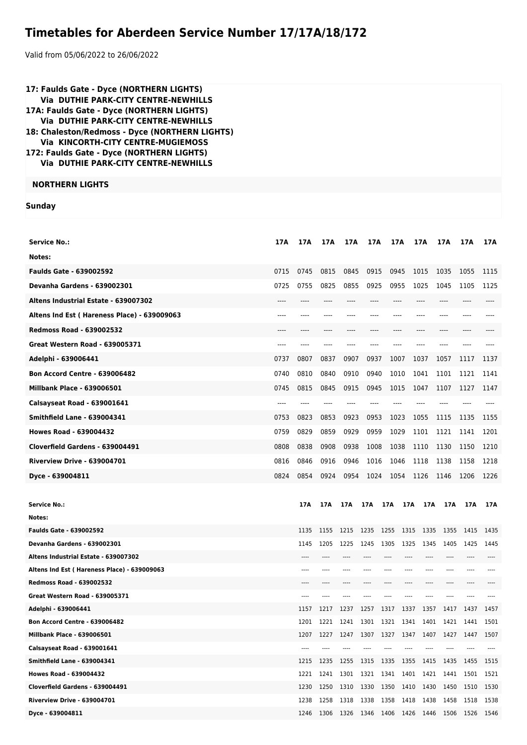## **Timetables for Aberdeen Service Number 17/17A/18/172**

Valid from 05/06/2022 to 26/06/2022

| 17: Faulds Gate - Dyce (NORTHERN LIGHTS)<br>Via DUTHIE PARK-CITY CENTRE-NEWHILLS<br>17A: Faulds Gate - Dyce (NORTHERN LIGHTS)<br>Via DUTHIE PARK-CITY CENTRE-NEWHILLS<br>18: Chaleston/Redmoss - Dyce (NORTHERN LIGHTS)<br>Via KINCORTH-CITY CENTRE-MUGIEMOSS<br>172: Faulds Gate - Dyce (NORTHERN LIGHTS)<br>Via DUTHIE PARK-CITY CENTRE-NEWHILLS |      |              |       |                                                           |                     |       |      |      |                         |                                    |      |
|----------------------------------------------------------------------------------------------------------------------------------------------------------------------------------------------------------------------------------------------------------------------------------------------------------------------------------------------------|------|--------------|-------|-----------------------------------------------------------|---------------------|-------|------|------|-------------------------|------------------------------------|------|
| <b>NORTHERN LIGHTS</b>                                                                                                                                                                                                                                                                                                                             |      |              |       |                                                           |                     |       |      |      |                         |                                    |      |
| <b>Sunday</b>                                                                                                                                                                                                                                                                                                                                      |      |              |       |                                                           |                     |       |      |      |                         |                                    |      |
|                                                                                                                                                                                                                                                                                                                                                    |      |              |       |                                                           |                     |       |      |      |                         |                                    |      |
| <b>Service No.:</b>                                                                                                                                                                                                                                                                                                                                | 17A  | 17A          | 17A   | 17A                                                       | 17A                 | 17A   |      | 17A  | 17A                     | 17A                                | 17A  |
| Notes:                                                                                                                                                                                                                                                                                                                                             |      |              |       |                                                           |                     |       |      |      |                         |                                    |      |
| <b>Faulds Gate - 639002592</b>                                                                                                                                                                                                                                                                                                                     | 0715 | 0745         | 0815  | 0845                                                      | 0915                | 0945  |      | 1015 | 1035                    | 1055                               | 1115 |
| Devanha Gardens - 639002301                                                                                                                                                                                                                                                                                                                        | 0725 | 0755         | 0825  | 0855                                                      | 0925                | 0955  |      | 1025 | 1045                    | 1105                               | 1125 |
| Altens Industrial Estate - 639007302                                                                                                                                                                                                                                                                                                               | ---- | ----         |       |                                                           |                     |       |      | ---- | ----                    |                                    |      |
| Altens Ind Est (Hareness Place) - 639009063                                                                                                                                                                                                                                                                                                        | ---- | ----         | ----  | ----                                                      |                     | $---$ |      | ---- | $---$                   |                                    |      |
| <b>Redmoss Road - 639002532</b>                                                                                                                                                                                                                                                                                                                    |      |              |       |                                                           |                     |       |      |      |                         |                                    |      |
| <b>Great Western Road - 639005371</b>                                                                                                                                                                                                                                                                                                              | ---- | ----         | ----  |                                                           |                     |       |      |      |                         |                                    |      |
| Adelphi - 639006441                                                                                                                                                                                                                                                                                                                                | 0737 | 0807         | 0837  | 0907                                                      | 0937                | 1007  |      | 1037 | 1057                    | 1117                               | 1137 |
| <b>Bon Accord Centre - 639006482</b>                                                                                                                                                                                                                                                                                                               | 0740 | 0810         | 0840  | 0910                                                      | 0940                | 1010  |      | 1041 | 1101                    | 1121                               | 1141 |
| <b>Millbank Place - 639006501</b>                                                                                                                                                                                                                                                                                                                  | 0745 | 0815         | 0845  | 0915                                                      | 0945                | 1015  |      | 1047 | 1107                    | 1127                               | 1147 |
| Calsayseat Road - 639001641                                                                                                                                                                                                                                                                                                                        | ---- | ----         | $---$ | ----                                                      | $---$               | $---$ |      | ---- |                         |                                    |      |
| <b>Smithfield Lane - 639004341</b>                                                                                                                                                                                                                                                                                                                 | 0753 | 0823         | 0853  | 0923                                                      | 0953                | 1023  |      | 1055 | 1115                    | 1135                               | 1155 |
| <b>Howes Road - 639004432</b>                                                                                                                                                                                                                                                                                                                      | 0759 | 0829         | 0859  | 0929                                                      | 0959                | 1029  |      | 1101 | 1121                    | 1141                               | 1201 |
| Cloverfield Gardens - 639004491                                                                                                                                                                                                                                                                                                                    | 0808 | 0838         | 0908  | 0938                                                      | 1008                | 1038  |      | 1110 | 1130                    | 1150                               | 1210 |
| <b>Riverview Drive - 639004701</b>                                                                                                                                                                                                                                                                                                                 | 0816 | 0846         | 0916  | 0946                                                      | 1016                | 1046  |      | 1118 | 1138                    | 1158                               | 1218 |
| Dyce - 639004811                                                                                                                                                                                                                                                                                                                                   | 0824 | 0854         | 0924  |                                                           |                     |       |      |      |                         | 0954 1024 1054 1126 1146 1206 1226 |      |
|                                                                                                                                                                                                                                                                                                                                                    |      |              |       |                                                           |                     |       |      |      |                         |                                    |      |
| <b>Service No.:</b>                                                                                                                                                                                                                                                                                                                                |      | 17A          | 17A   |                                                           |                     |       |      |      | 17A 17A 17A 17A 17A 17A | <b>17A</b>                         | 17A  |
| Notes:                                                                                                                                                                                                                                                                                                                                             |      |              |       |                                                           |                     |       |      |      |                         |                                    |      |
| <b>Faulds Gate - 639002592</b>                                                                                                                                                                                                                                                                                                                     |      | 1135         | 1155  | 1215                                                      | 1235                | 1255  | 1315 | 1335 | 1355                    | 1415                               | 1435 |
| Devanha Gardens - 639002301                                                                                                                                                                                                                                                                                                                        |      | 1145         | 1205  | 1225                                                      | 1245                | 1305  | 1325 | 1345 | 1405                    | 1425                               | 1445 |
| Altens Industrial Estate - 639007302                                                                                                                                                                                                                                                                                                               |      | ----         |       |                                                           |                     |       | ---- |      |                         |                                    |      |
| Altens Ind Est (Hareness Place) - 639009063                                                                                                                                                                                                                                                                                                        |      |              |       |                                                           |                     |       |      |      |                         |                                    |      |
| <b>Redmoss Road - 639002532</b><br>Great Western Road - 639005371                                                                                                                                                                                                                                                                                  |      | ----<br>---- |       |                                                           |                     |       |      |      |                         |                                    |      |
| Adelphi - 639006441                                                                                                                                                                                                                                                                                                                                |      | 1157         | 1217  | 1237                                                      | 1257                | 1317  | 1337 | 1357 | 1417                    | 1437                               | 1457 |
| <b>Bon Accord Centre - 639006482</b>                                                                                                                                                                                                                                                                                                               |      | 1201         | 1221  | 1241                                                      | 1301                | 1321  | 1341 | 1401 | 1421                    | 1441                               | 1501 |
| <b>Millbank Place - 639006501</b>                                                                                                                                                                                                                                                                                                                  |      | 1207         | 1227  | 1247                                                      | 1307                | 1327  | 1347 | 1407 | 1427                    | 1447                               | 1507 |
| Calsayseat Road - 639001641                                                                                                                                                                                                                                                                                                                        |      | $- - - -$    | $---$ | ----                                                      |                     |       | ---- | ---- | $---$                   | $---$                              |      |
| <b>Smithfield Lane - 639004341</b>                                                                                                                                                                                                                                                                                                                 |      | 1215         | 1235  | 1255                                                      | 1315 1335 1355      |       |      | 1415 | 1435                    | 1455                               | 1515 |
| <b>Howes Road - 639004432</b>                                                                                                                                                                                                                                                                                                                      |      | 1221         | 1241  | 1301                                                      | 1321                | 1341  | 1401 | 1421 | 1441                    | 1501                               | 1521 |
| Cloverfield Gardens - 639004491                                                                                                                                                                                                                                                                                                                    |      | 1230         | 1250  |                                                           | 1310 1330 1350 1410 |       |      |      | 1430 1450               | 1510                               | 1530 |
| <b>Riverview Drive - 639004701</b>                                                                                                                                                                                                                                                                                                                 |      | 1238         | 1258  | 1318<br>1246 1306 1326 1346 1406 1426 1446 1506 1526 1546 | 1338                | 1358  | 1418 | 1438 | 1458                    | 1518                               | 1538 |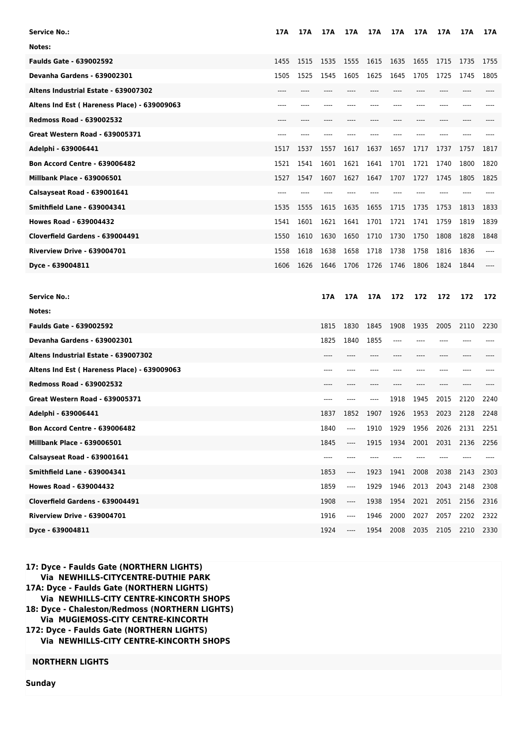| <b>Service No.:</b>                         | 17A   | 17A  | 17 A | 17 A | 17A  | 17A   | 17A   | 17A   | 17 A  | 17 A |
|---------------------------------------------|-------|------|------|------|------|-------|-------|-------|-------|------|
| Notes:                                      |       |      |      |      |      |       |       |       |       |      |
| <b>Faulds Gate - 639002592</b>              | 1455  | 1515 | 1535 | 1555 | 1615 | 1635  | 1655  | 1715  | 1735  | 1755 |
| Devanha Gardens - 639002301                 | 1505  | 1525 | 1545 | 1605 | 1625 | 1645  | 1705  | 1725  | 1745  | 1805 |
| Altens Industrial Estate - 639007302        | $---$ | ---- | ---- | ---- | ---- | $---$ | $---$ | $---$ | $---$ | ---- |
| Altens Ind Est (Hareness Place) - 639009063 | ----  | ---- | ---- | ---- | ---- | $---$ | ----  | ----  | ----  |      |
| <b>Redmoss Road - 639002532</b>             | $---$ | ---- |      |      |      |       | $---$ | ----  |       |      |
| <b>Great Western Road - 639005371</b>       | ----  | ---- |      | ---- |      | $---$ | ----  | ----  | ----  | ---- |
| Adelphi - 639006441                         | 1517  | 1537 | 1557 | 1617 | 1637 | 1657  | 1717  | 1737  | 1757  | 1817 |
| <b>Bon Accord Centre - 639006482</b>        | 1521  | 1541 | 1601 | 1621 | 1641 | 1701  | 1721  | 1740  | 1800  | 1820 |
| <b>Millbank Place - 639006501</b>           | 1527  | 1547 | 1607 | 1627 | 1647 | 1707  | 1727  | 1745  | 1805  | 1825 |
| Calsayseat Road - 639001641                 | ----  | ---- | ---- | ---- |      | $---$ | $---$ | ----  |       |      |
| <b>Smithfield Lane - 639004341</b>          | 1535  | 1555 | 1615 | 1635 | 1655 | 1715  | 1735  | 1753  | 1813  | 1833 |
| <b>Howes Road - 639004432</b>               | 1541  | 1601 | 1621 | 1641 | 1701 | 1721  | 1741  | 1759  | 1819  | 1839 |
| Cloverfield Gardens - 639004491             | 1550  | 1610 | 1630 | 1650 | 1710 | 1730  | 1750  | 1808  | 1828  | 1848 |
| <b>Riverview Drive - 639004701</b>          | 1558  | 1618 | 1638 | 1658 | 1718 | 1738  | 1758  | 1816  | 1836  | ---- |
| Dyce - 639004811                            | 1606  | 1626 | 1646 | 1706 | 1726 | 1746  | 1806  | 1824  | 1844  |      |
|                                             |       |      |      |      |      |       |       |       |       |      |
|                                             |       |      |      |      |      |       |       |       |       |      |
| Service No.:                                |       |      | 17A  | 17A  | 17A  | 172   | 172   | 172   | 172   | 172  |
| Notes:                                      |       |      |      |      |      |       |       |       |       |      |
| <b>Faulds Gate - 639002592</b>              |       |      | 1815 | 1830 | 1845 | 1908  | 1935  | 2005  | 2110  | 2230 |
| <b>Devanha Gardens - 639002301</b>          |       |      | 1825 | 1840 | 1855 | ----  | ----  |       |       |      |
| Altens Industrial Estate - 639007302        |       |      |      |      |      |       | ----  | ----  |       |      |
| Altens Ind Est (Hareness Place) - 639009063 |       |      |      |      |      |       |       |       |       |      |
| <b>Redmoss Road - 639002532</b>             |       |      |      |      |      |       |       |       |       |      |
| <b>Great Western Road - 639005371</b>       |       |      |      |      | ---- | 1918  | 1945  | 2015  | 2120  | 2240 |
| Adelphi - 639006441                         |       |      | 1837 | 1852 | 1907 | 1926  | 1953  | 2023  | 2128  | 2248 |
| <b>Bon Accord Centre - 639006482</b>        |       |      | 1840 | ---- | 1910 | 1929  | 1956  | 2026  | 2131  | 2251 |
| <b>Millbank Place - 639006501</b>           |       |      | 1845 | ---- | 1915 | 1934  | 2001  | 2031  | 2136  | 2256 |
| Calsayseat Road - 639001641                 |       |      | ---- |      |      |       |       |       |       |      |
| <b>Smithfield Lane - 639004341</b>          |       |      | 1853 | ---- | 1923 | 1941  | 2008  | 2038  | 2143  | 2303 |
| <b>Howes Road - 639004432</b>               |       |      | 1859 | ---- | 1929 | 1946  | 2013  | 2043  | 2148  | 2308 |
| Cloverfield Gardens - 639004491             |       |      | 1908 | ---- | 1938 | 1954  | 2021  | 2051  | 2156  | 2316 |
| <b>Riverview Drive - 639004701</b>          |       |      | 1916 | ---- | 1946 | 2000  | 2027  | 2057  | 2202  | 2322 |

**17: Dyce - Faulds Gate (NORTHERN LIGHTS) Via NEWHILLS-CITYCENTRE-DUTHIE PARK 17A: Dyce - Faulds Gate (NORTHERN LIGHTS) Via NEWHILLS-CITY CENTRE-KINCORTH SHOPS 18: Dyce - Chaleston/Redmoss (NORTHERN LIGHTS) Via MUGIEMOSS-CITY CENTRE-KINCORTH 172: Dyce - Faulds Gate (NORTHERN LIGHTS) Via NEWHILLS-CITY CENTRE-KINCORTH SHOPS**

## **NORTHERN LIGHTS**

**Sunday**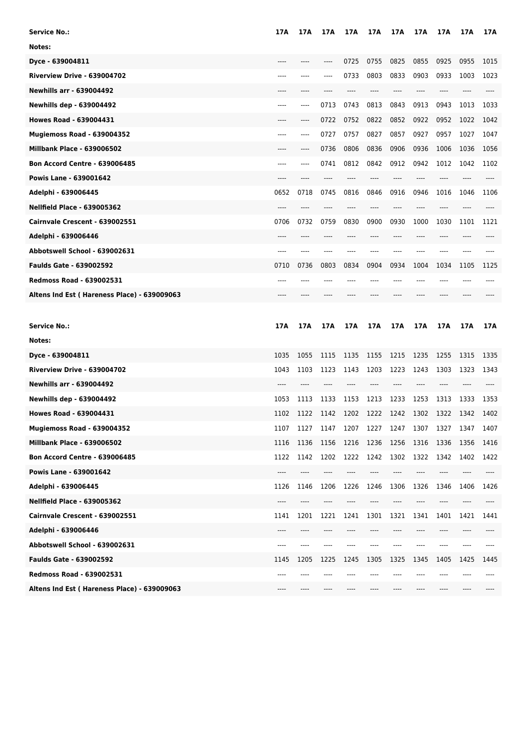| <b>Service No.:</b>                         | 17A   | 17A  | 17 A  | 17 A  | 17A   | 17A   | 17A     | 17A  | 17A  | 17 A |
|---------------------------------------------|-------|------|-------|-------|-------|-------|---------|------|------|------|
| Notes:                                      |       |      |       |       |       |       |         |      |      |      |
| Dyce - 639004811                            | $---$ |      | $---$ | 0725  | 0755  | 0825  | 0855    | 0925 | 0955 | 1015 |
| Riverview Drive - 639004702                 | ----  | ---- | $---$ | 0733  | 0803  | 0833  | 0903    | 0933 | 1003 | 1023 |
| <b>Newhills arr - 639004492</b>             | $---$ | ---- |       | ----  | $---$ | $---$ | $---$   | ---- |      | ---- |
| <b>Newhills dep - 639004492</b>             | ----  | ---- | 0713  | 0743  | 0813  | 0843  | 0913    | 0943 | 1013 | 1033 |
| <b>Howes Road - 639004431</b>               | ----  | ---- | 0722  | 0752  | 0822  | 0852  | 0922    | 0952 | 1022 | 1042 |
| <b>Mugiemoss Road - 639004352</b>           | $---$ | ---- | 0727  | 0757  | 0827  | 0857  | 0927    | 0957 | 1027 | 1047 |
| <b>Millbank Place - 639006502</b>           | $---$ | ---- | 0736  | 0806  | 0836  | 0906  | 0936    | 1006 | 1036 | 1056 |
| <b>Bon Accord Centre - 639006485</b>        | $---$ | ---- | 0741  | 0812  | 0842  | 0912  | 0942    | 1012 | 1042 | 1102 |
| Powis Lane - 639001642                      | $---$ | ---- |       | ----  | ----  | $---$ | ----    | ---- |      |      |
| Adelphi - 639006445                         | 0652  | 0718 | 0745  | 0816  | 0846  | 0916  | 0946    | 1016 | 1046 | 1106 |
| <b>Nellfield Place - 639005362</b>          | ----  | ---- | ----  | ----  | ----  | $---$ | $---$   | ---- |      | ---- |
| Cairnvale Crescent - 639002551              | 0706  | 0732 | 0759  | 0830  | 0900  | 0930  | 1000    | 1030 | 1101 | 1121 |
| Adelphi - 639006446                         | $---$ | ---- | ----  | ----  | ----  | $---$ | ----    | ---- |      |      |
| Abbotswell School - 639002631               | $---$ | ---- | $---$ | $---$ | $---$ | $---$ | $---$   | ---- | ---- | ---- |
| <b>Faulds Gate - 639002592</b>              | 0710  | 0736 | 0803  | 0834  | 0904  | 0934  | 1004    | 1034 | 1105 | 1125 |
| <b>Redmoss Road - 639002531</b>             | $---$ |      |       | ----  |       | $---$ | ----    | ---- |      |      |
| Altens Ind Est (Hareness Place) - 639009063 | $---$ |      |       |       |       |       | ----    |      |      |      |
|                                             |       |      |       |       |       |       |         |      |      |      |
|                                             |       |      |       |       |       |       |         |      |      |      |
| <b>Service No.:</b>                         | 17A   | 17A  | 17A   | 17A   | 17A   | 17A   | 17A     | 17A  | 17A  | 17A  |
| Notes:                                      |       |      |       |       |       |       |         |      |      |      |
| Dyce - 639004811                            | 1035  | 1055 | 1115  | 1135  | 1155  | 1215  | 1235    | 1255 | 1315 | 1335 |
| <b>Riverview Drive - 639004702</b>          | 1043  | 1103 | 1123  | 1143  | 1203  | 1223  | 1243    | 1303 | 1323 | 1343 |
| <b>Newhills arr - 639004492</b>             |       |      |       |       |       |       |         |      |      |      |
| <b>Newhills dep - 639004492</b>             | 1053  | 1113 | 1133  | 1153  | 1213  | 1233  | 1253    | 1313 | 1333 | 1353 |
| <b>Howes Road - 639004431</b>               | 1102  | 1122 | 1142  | 1202  | 1222  | 1242  | 1302    | 1322 | 1342 | 1402 |
| <b>Mugiemoss Road - 639004352</b>           | 1107  | 1127 | 1147  | 1207  | 1227  | 1247  | 1307    | 1327 | 1347 | 1407 |
| <b>Millbank Place - 639006502</b>           | 1116  | 1136 | 1156  | 1216  | 1236  | 1256  | 1316    | 1336 | 1356 | 1416 |
| <b>Bon Accord Centre - 639006485</b>        | 1122  | 1142 | 1202  | 1222  | 1242  | 1302  | 1322    | 1342 | 1402 | 1422 |
| Powis Lane - 639001642                      | ----  | ---- | ----  | ----  | ----  | ----  | ----    | ---- | ---- | ---- |
| Adelphi - 639006445                         | 1126  | 1146 | 1206  | 1226  | 1246  | 1306  | 1326    | 1346 | 1406 | 1426 |
| <b>Nellfield Place - 639005362</b>          |       |      |       |       |       |       |         |      |      |      |
| Cairnvale Crescent - 639002551              | 1141  | 1201 | 1221  | 1241  | 1301  | 1321  | 1341    | 1401 | 1421 | 1441 |
| Adelphi - 639006446                         | ----  | ---- | ----  | ----  | ----  | ----  | $-----$ | ---- | ---- | ---- |
| Abbotswell School - 639002631               | ----  | ---- | ----  | ----  |       |       | ----    | ---- | ---- | ---- |
| <b>Faulds Gate - 639002592</b>              | 1145  | 1205 | 1225  | 1245  | 1305  | 1325  | 1345    | 1405 | 1425 | 1445 |
| <b>Redmoss Road - 639002531</b>             | ----  |      |       |       |       |       |         |      |      |      |